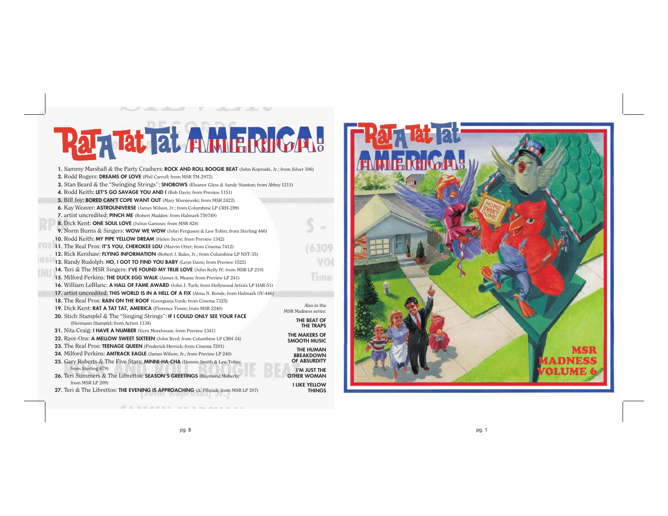## Rah Tat Tat AMMERICA!

**1.** Sammy Marshall & the Party Crashers: **ROCK AND ROLL BOOGIE BEAT** (John Koproski, Jr.; from Silver 106)

- **2.** Rodd Rogers: **DREAMS OF LOVE** (Phil Carroll; from MSR TM-2972)
- **3.** Stan Beard & the "Swinging Strings": **SNOBOWS** (Eleanor Gless & Sandy Stanton; from Abbey 1211)
- **4.** Rodd Keith: **LET'S GO SAVAGE YOU AND I** (Bob Davis; from Preview 1151)
- **5.** Bill Joy: **BORED CAN'T COPE WANT OUT** (Mary Wisniewski; from MSR 2422)
- **6.** Kay Weaver: **ASTROUNIVERSE** (James Wilson, Jr.; from Columbine LP CRH-289)
- **7.** artist uncredited: **PINCH ME** (Robert Madden; from Halmark 750749)
- 
- **8.** Dick Kent: **ONE SOUL LOVE** (Julius Ganious; from MSR 828)
- **9.** Norm Burns & Singers: **WOW WE WOW** (John Ferguson & Lew Tobin; from Sterling 446)
- **10.** Rodd Keith: **MY PIPE YELLOW DREAM** (Helen Secre; from Preview 1342) **11.** The Real Pros: **IT'S YOU, CHEROKEE LOU** (Marvin Utter; from Cinema 7412)
	- **12.** Rick Kershaw: **FLYING INFORMATION** (Robert J. Bales, Jr.; from Columbine LP NST-35)
	- **13.** Randy Rudolph: **HO, I GOT TO FIND YOU BABY** (Leon Davis; from Preview 1522) **14.** Teri & The MSR Singers: **I'VE FOUND MY TRUE LOVE** (John Kelly IV; from MSR LP 210)
	- **15.** Milford Perkins: **THE DUCK EGG WALK** (James A. Means; from Preview LP 241)
	- **16.** William LeBlanc: **A HALL OF FAME AWARD** (John J. Turk; from Hollywood Artists LP HAR-51)
	- **17.** artist uncredited: **THIS WORLD IS IN A HELL OF A FIX** (Alma N. Bonds; from Halmark OV-446)
	- **18.** The Real Pros: **RAIN ON THE ROOF** (Georgiana Vunk; from Cinema 7325)
	- **19.** Dick Kent: **RAT A TAT TAT, AMERICA** (Florence Timm; from MSR 2240) **20.** Stich Stampfel & The "Singing Strings": **IF I COULD ONLY SEE YOUR FACE**
	- (Hermann Stampfel; from Action 1138) **21.** Nita Craig: **I HAVE A NUMBER** (Vern Morehouse; from Preview 1341)
	- **22.** Rave-Ons: **A MELLOW SWEET SIXTEEN** (John Byrd; from Columbine LP CRH-14)
	- **23.** The Real Pros: **TEENAGE QUEEN** (Frederick Herrick; from Cinema 7201)
	- **24.** Milford Perkins: **AMTRACK EAGLE** (James Wilson, Jr.; from Preview LP 240)
	- **25.** Gary Roberts & The Five Stars: **MINNI-HA-CHA** (Donnie Smith & Lew Tobin; from Sterling 679)
	- **26.** Teri Summers & The Librettos: **SEASON'S GREETINGS** (Raymond Moberly; from MSR LP 209)
	- 27. Teri & The Librettos: **THE EVENING IS APPROACHING** (A. Pilipiak; from MSR LP 207)



Also in the MSR Madness series: **THE BEAT OF THE TRAPS THE MAKERS OF SMOOTH MUSIC THE HUMAN BREAKDOWN OF ABSURDITY I'M JUST THE OTHER WOMAN I LIKE YELLOW THINGS**

 $\rightarrow$ 

(6309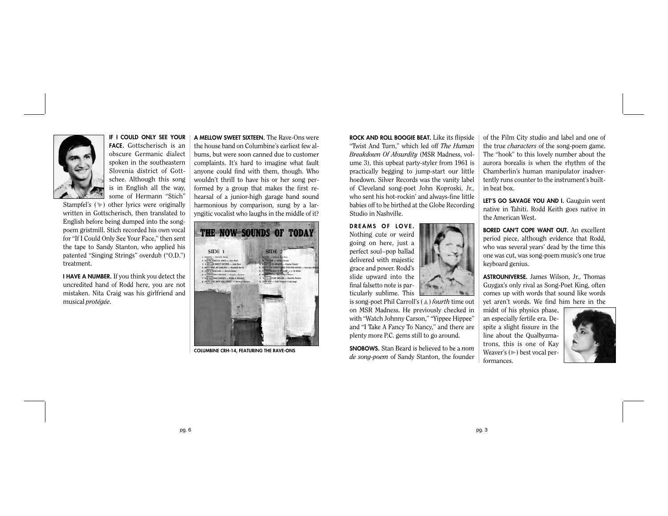

**IF I COULD ONLY SEE YOUR FACE.** Gottscherisch is an obscure Germanic dialect spoken in the southeastern Slovenia district of Gottschee. Although this song is in English all the way, some of Hermann "Stich"

Stampfel's ( $\triangleright$ ) other lyrics were originally written in Gottscherisch, then translated to English before being dumped into the songpoem gristmill. Stich recorded his own vocal for "If I Could Only See Your Face," then sent the tape to Sandy Stanton, who applied his patented "Singing Strings" overdub ("O.D.") treatment.

**I HAVE A NUMBER.** If you think you detect the uncredited hand of Rodd here, you are not mistaken. Nita Craig was his girlfriend and musical *protégée*.

**A MELLOW SWEET SIXTEEN.** The Rave-Ons were the house band on Columbine's earliest few albums, but were soon canned due to customer complaints. It's hard to imagine what fault anyone could find with them, though. Who wouldn't thrill to have his or her song performed by a group that makes the first rehearsal of a junior-high garage band sound harmonious by comparison, sung by a laryngitic vocalist who laughs in the middle of it?



**COLUMBINE CRH-14, FEATURING THE RAVE-ONS**

**ROCK AND ROLL BOOGIE BEAT.** Like its flipside "Twist And Turn," which led off *The Human Breakdown Of Absurdity* (MSR Madness, volume 3), this upbeat party-styler from 1961 is practically begging to jump-start our little hoedown. Silver Records was the vanity label of Cleveland song-poet John Koproski, Jr., who sent his hot-rockin' and always-fine little babies off to be birthed at the Globe Recording Studio in Nashville.

**DREAMS OF LOVE.** Nothing cute or weird going on here, just a perfect soul–pop ballad delivered with majestic grace and power. Rodd's slide upward into the final falsetto note is particularly sublime. This

is song-poet Phil Carroll's (#) *fourth* time out on MSR Madness. He previously checked in with "Watch Johnny Carson," "Yippee Hippee" and "I Take A Fancy To Nancy," and there are plenty more P.C. gems still to go around.

**SNOBOWS.** Stan Beard is believed to be a *nom de song-poem* of Sandy Stanton, the founder of the Film City studio and label and one of the true *characters* of the song-poem game. The "hook" to this lovely number about the aurora borealis is when the rhythm of the Chamberlin's human manipulator inadvertently runs counter to the instrument's builtin beat box.

LET'S GO SAVAGE YOU AND I. Gauguin went native in Tahiti. Rodd Keith goes native in the American West.

**BORED CAN'T COPE WANT OUT.** An excellent period piece, although evidence that Rodd, who was several years' dead by the time this one was cut, was song-poem music's one true keyboard genius.

**ASTROUNIVERSE.** James Wilson, Jr., Thomas Guygax's only rival as Song-Poet King, often comes up with words that sound like words yet aren't words. We find him here in the

midst of his physics phase, an especially fertile era. Despite a slight fissure in the line about the Qualbyzmatrons, this is one of Kay Weaver's  $(\triangleright)$  best vocal performances.

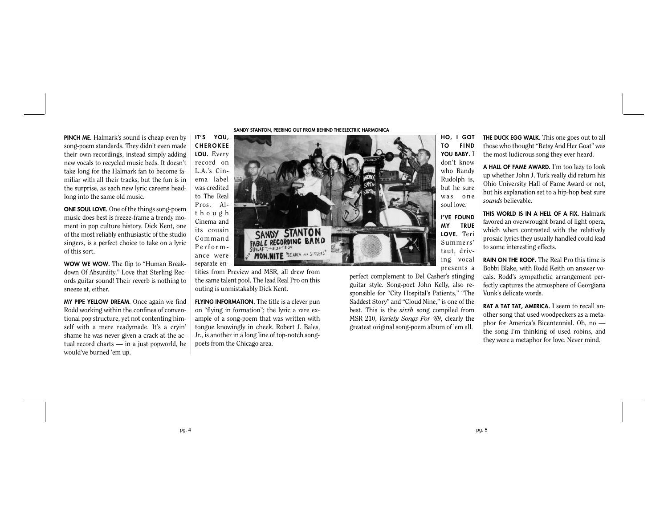**PINCH ME.** Halmark's sound is cheap even by song-poem standards. They didn't even made their own recordings, instead simply adding new vocals to recycled music beds. It doesn't take long for the Halmark fan to become familiar with all their tracks, but the fun is in the surprise, as each new lyric careens headlong into the same old music.

**ONE SOUL LOVE.** One of the things song-poem music does best is freeze-frame a trendy moment in pop culture history. Dick Kent, one of the most reliably enthusiastic of the studio singers, is a perfect choice to take on a lyric of this sort.

**WOW WE WOW.** The flip to "Human Breakdown Of Absurdity." Love that Sterling Records guitar sound! Their reverb is nothing to sneeze at, either.

**MY PIPE YELLOW DREAM.** Once again we find Rodd working within the confines of conventional pop structure, yet not contenting himself with a mere readymade. It's a cryin' shame he was never given a crack at the actual record charts — in a just popworld, he would've burned 'em up.

SANDY STANTON, PEERING OUT FROM BEHIND THE ELECTRIC HARMONICA



tities from Preview and MSR, all drew from the same talent pool. The lead Real Pro on this outing is unmistakably Dick Kent.

**FLYING INFORMATION.** The title is a clever pun on "flying in formation"; the lyric a rare example of a song-poem that was written with tongue knowingly in cheek. Robert J. Bales, Jr., is another in a long line of top-notch songpoets from the Chicago area.

**TO FIND YOU BABY.** I don't know who Randy Rudolph is, but he sure was one soul love.

**I'VE FOUND MY TRUE LOVE.** Teri Summers' taut, driving vocal presents a

perfect complement to Del Casher's stinging guitar style. Song-poet John Kelly, also responsible for "City Hospital's Patients," "The Saddest Story" and "Cloud Nine," is one of the best. This is the *sixth* song compiled from MSR 210, *Variety Songs For '69*, clearly the greatest original song-poem album of 'em all.

**THE DUCK EGG WALK.** This one goes out to all those who thought "Betsy And Her Goat" was the most ludicrous song they ever heard.

**A HALL OF FAME AWARD.** I'm too lazy to look up whether John J. Turk really did return his Ohio University Hall of Fame Award or not, but his explanation set to a hip-hop beat sure *sounds* believable.

**THIS WORLD IS IN A HELL OF A FIX.** Halmark favored an overwrought brand of light opera, which when contrasted with the relatively prosaic lyrics they usually handled could lead to some interesting effects.

**RAIN ON THE ROOF.** The Real Pro this time is Bobbi Blake, with Rodd Keith on answer vocals. Rodd's sympathetic arrangement perfectly captures the atmosphere of Georgiana Vunk's delicate words.

**RAT A TAT TAT, AMERICA.** I seem to recall another song that used woodpeckers as a metaphor for America's Bicentennial. Oh, no the song I'm thinking of used robins, and they were a metaphor for love. Never mind.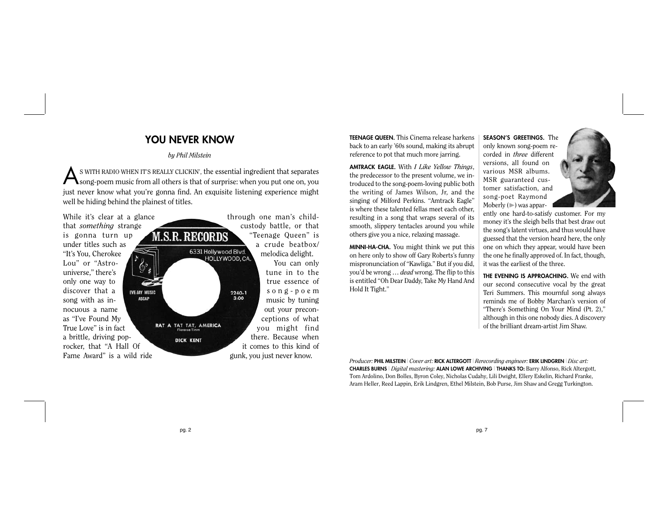## **YOU NEVER KNOW**

## *by Phil Milstein*

AS WITH RADIO WHEN IT'S REALLY CLICKIN', the essential ingredient that separates song-poem music from all others is that of surprise: when you put one on, you just never know what you're gonna find. An exquisite listening experience might well be hiding behind the plainest of titles.



**TEENAGE QUEEN.** This Cinema release harkens back to an early '60s sound, making its abrupt reference to pot that much more jarring.

**AMTRACK EAGLE.** With *I Like Yellow Things*, the predecessor to the present volume, we introduced to the song-poem-loving public both the writing of James Wilson, Jr, and the singing of Milford Perkins. "Amtrack Eagle" is where these talented fellas meet each other, resulting in a song that wraps several of its smooth, slippery tentacles around you while others give you a nice, relaxing massage.

**MINNI-HA-CHA.** You might think we put this on here only to show off Gary Roberts's funny mispronunciation of "Kawliga." But if you did, you'd be wrong … *dead* wrong. The flip to this is entitled "Oh Dear Daddy, Take My Hand And Hold It Tight."

**SEASON'S GREETINGS.** The only known song-poem recorded in *three* different versions, all found on various MSR albums. MSR guaranteed customer satisfaction, and song-poet Raymond Moberly  $(\triangleright)$  was appar-



ently one hard-to-satisfy customer. For my money it's the sleigh bells that best draw out the song's latent virtues, and thus would have guessed that the version heard here, the only one on which they appear, would have been the one he finally approved of. In fact, though, it was the earliest of the three.

**THE EVENING IS APPROACHING.** We end with our second consecutive vocal by the great Teri Summers. This mournful song always reminds me of Bobby Marchan's version of "There's Something On Your Mind (Pt. 2)," although in this one nobody dies. A discovery of the brilliant dream-artist Jim Shaw.

*Producer:* **PHIL MILSTEIN** | *Cover art:* **RICK ALTERGOTT** | *Rerecording engineer:* **ERIK LINDGREN** | *Disc art:* **CHARLES BURNS** | *Digital mastering:* **ALAN LOWE ARCHIVING** | **THANKS TO:** Barry Alfonso, Rick Altergott, Tom Ardolino, Don Bolles, Byron Coley, Nicholas Cudahy, Lili Dwight, Ellery Eskelin, Richard Franke, Aram Heller, Reed Lappin, Erik Lindgren, Ethel Milstein, Bob Purse, Jim Shaw and Gregg Turkington.